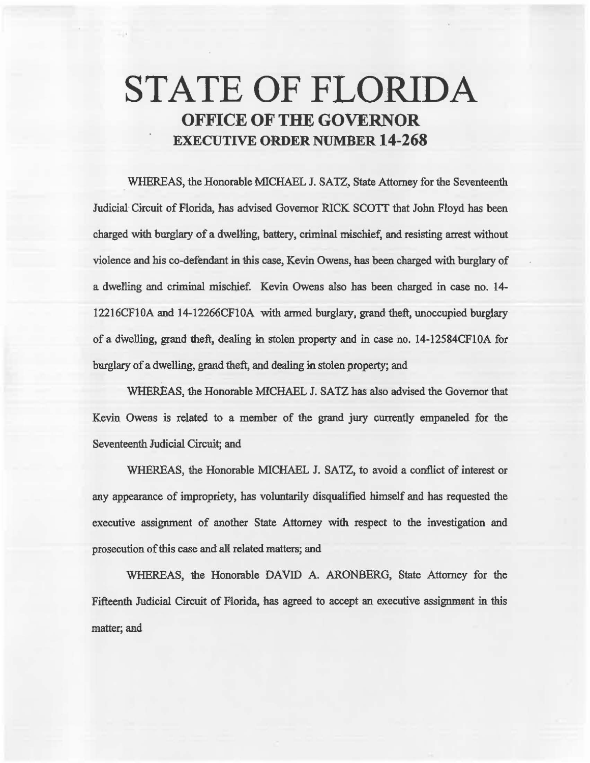## STATE OF FLORIDA OFFICE OF THE GOVERNOR EXECUTIVE ORDER NUMBER 14-268

WHEREAS, the Honorable MICHAEL J. SATZ, State Attorney for the Seventeenth Judicial Circuit of Florida, has advised Governor RICK SCOTT that John Floyd has been charged with burglary of a dwelling, battery, criminal mischief, and resisting arrest without violence and his co-defendant in this case, Kevin Owens, has been charged with burglary of a dwetling and criminal mischief. Kevin. Owens also has been charged in case no. 14- 12216CF10A and 14-12266CFIOA with armed burglary, grand theft, unoccupied burglary of a dwelling, grand theft, dealing in stolen property and in case no. 14-12584CF10A for burglary of a dwelling, grand theft, and dealing in stolen property; and

WHEREAS, the Honorable MICHAEL J. SATZ has also advised the Governor that Kevin Owens is related to a member of the grand jury currently empaneled for the Seventeenth. Judicial Circuit; and

WHEREAS, the Honorable MICHAEL J. SATZ, to avoid a conflict of interest or any appearance of impropriety, has voluntarily disqualified himself and has requested the executive assignment of another State Attorney with respect to the investigation and prosecution of this case and all related matters; and

WHEREAS, the Honorable DAVID A. ARONBERG, State Attorney for the Fifteenth Judicial Circuit of Florida, has agreed to accept an executive assignment in this matter; and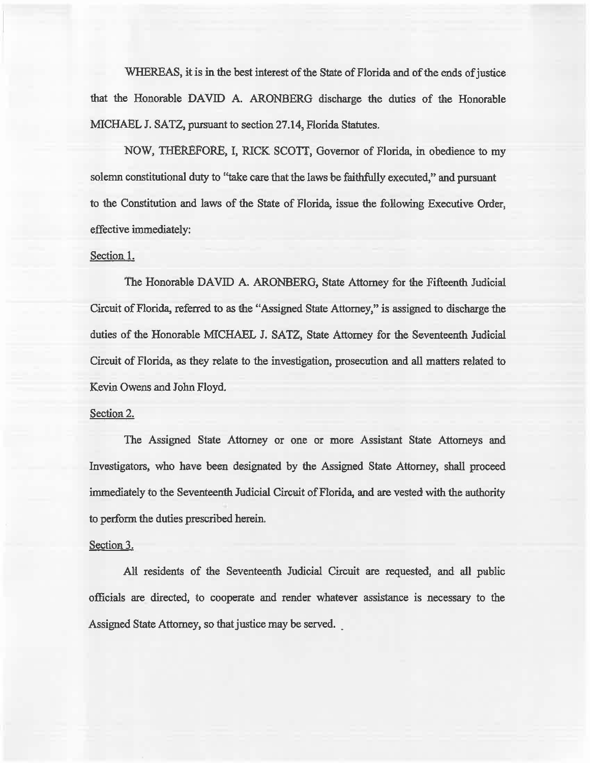WHEREAS, it is in the best interest of the State of Florida and of the ends of justice that the Honorable DAVID A. ARONBERG discharge the duties of the Honorable MICHAEL J. SATZ, pursuant to section 27.14, Florida Statutes.

NOW, THEREFORE, I, RICK SCOTI, Governor of Florida, in obedience to my solemn constitutional duty to "take care that the laws be faithfully executed,'' and pursuant to the Constitution and laws of the State of Florida, issue the following Executive Order, effective immediately:

## Section 1.

The Honorable DAVID A. ARONBERG, State Attorney for the Fifteenth Judicial Circuit of Florida, referred to as the "Assigned State Attorney," is assigned to discharge the duties of the Honorable MICHAEL J. SATZ, State Attorney for the Seventeenth Judicial Circuit of Florida, as they relate to the investigation, prosecution and all matters related to Kevin Owens and John Floyd.

## Section 2.

The Assigned State Attorney or one or more Assistant State Attorneys and Investigators, who have been designated by the Assigned State Attorney, shall proceed immediately to the Seventeenth Judicial Circuit of Florida, and are vested with the authority to perform the duties prescribed herein.

## Section 3.

AM residents of the Seventeenth Judicial Circuit are requested, and all public officials are directed, to cooperate and render whatever assistance is necessary to the Assigned State Attorney, so that justice may be served.